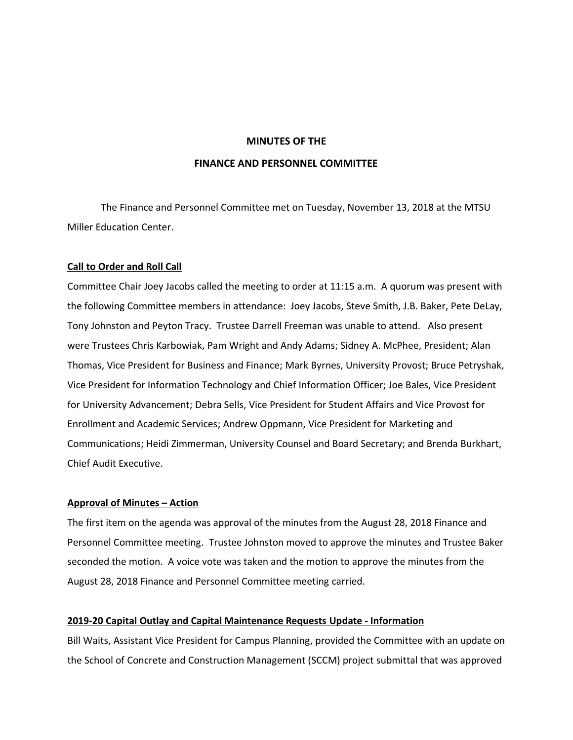#### **MINUTES OF THE**

#### **FINANCE AND PERSONNEL COMMITTEE**

The Finance and Personnel Committee met on Tuesday, November 13, 2018 at the MTSU Miller Education Center.

#### **Call to Order and Roll Call**

Committee Chair Joey Jacobs called the meeting to order at 11:15 a.m. A quorum was present with the following Committee members in attendance: Joey Jacobs, Steve Smith, J.B. Baker, Pete DeLay, Tony Johnston and Peyton Tracy. Trustee Darrell Freeman was unable to attend. Also present were Trustees Chris Karbowiak, Pam Wright and Andy Adams; Sidney A. McPhee, President; Alan Thomas, Vice President for Business and Finance; Mark Byrnes, University Provost; Bruce Petryshak, Vice President for Information Technology and Chief Information Officer; Joe Bales, Vice President for University Advancement; Debra Sells, Vice President for Student Affairs and Vice Provost for Enrollment and Academic Services; Andrew Oppmann, Vice President for Marketing and Communications; Heidi Zimmerman, University Counsel and Board Secretary; and Brenda Burkhart, Chief Audit Executive.

# **Approval of Minutes – Action**

The first item on the agenda was approval of the minutes from the August 28, 2018 Finance and Personnel Committee meeting. Trustee Johnston moved to approve the minutes and Trustee Baker seconded the motion. A voice vote was taken and the motion to approve the minutes from the August 28, 2018 Finance and Personnel Committee meeting carried.

## **2019-20 Capital Outlay and Capital Maintenance Requests Update - Information**

Bill Waits, Assistant Vice President for Campus Planning, provided the Committee with an update on the School of Concrete and Construction Management (SCCM) project submittal that was approved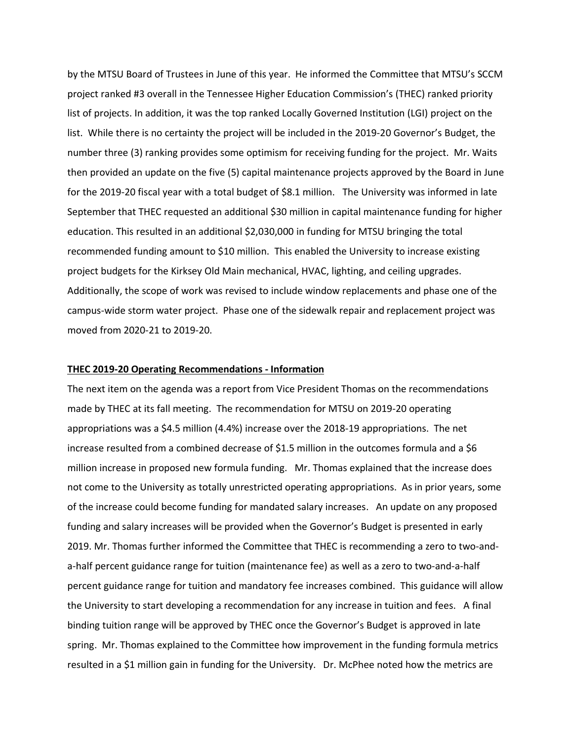by the MTSU Board of Trustees in June of this year. He informed the Committee that MTSU's SCCM project ranked #3 overall in the Tennessee Higher Education Commission's (THEC) ranked priority list of projects. In addition, it was the top ranked Locally Governed Institution (LGI) project on the list. While there is no certainty the project will be included in the 2019-20 Governor's Budget, the number three (3) ranking provides some optimism for receiving funding for the project. Mr. Waits then provided an update on the five (5) capital maintenance projects approved by the Board in June for the 2019-20 fiscal year with a total budget of \$8.1 million. The University was informed in late September that THEC requested an additional \$30 million in capital maintenance funding for higher education. This resulted in an additional \$2,030,000 in funding for MTSU bringing the total recommended funding amount to \$10 million. This enabled the University to increase existing project budgets for the Kirksey Old Main mechanical, HVAC, lighting, and ceiling upgrades. Additionally, the scope of work was revised to include window replacements and phase one of the campus-wide storm water project. Phase one of the sidewalk repair and replacement project was moved from 2020-21 to 2019-20.

#### **THEC 2019-20 Operating Recommendations - Information**

The next item on the agenda was a report from Vice President Thomas on the recommendations made by THEC at its fall meeting. The recommendation for MTSU on 2019-20 operating appropriations was a \$4.5 million (4.4%) increase over the 2018-19 appropriations. The net increase resulted from a combined decrease of \$1.5 million in the outcomes formula and a \$6 million increase in proposed new formula funding. Mr. Thomas explained that the increase does not come to the University as totally unrestricted operating appropriations. As in prior years, some of the increase could become funding for mandated salary increases. An update on any proposed funding and salary increases will be provided when the Governor's Budget is presented in early 2019. Mr. Thomas further informed the Committee that THEC is recommending a zero to two-anda-half percent guidance range for tuition (maintenance fee) as well as a zero to two-and-a-half percent guidance range for tuition and mandatory fee increases combined. This guidance will allow the University to start developing a recommendation for any increase in tuition and fees. A final binding tuition range will be approved by THEC once the Governor's Budget is approved in late spring. Mr. Thomas explained to the Committee how improvement in the funding formula metrics resulted in a \$1 million gain in funding for the University. Dr. McPhee noted how the metrics are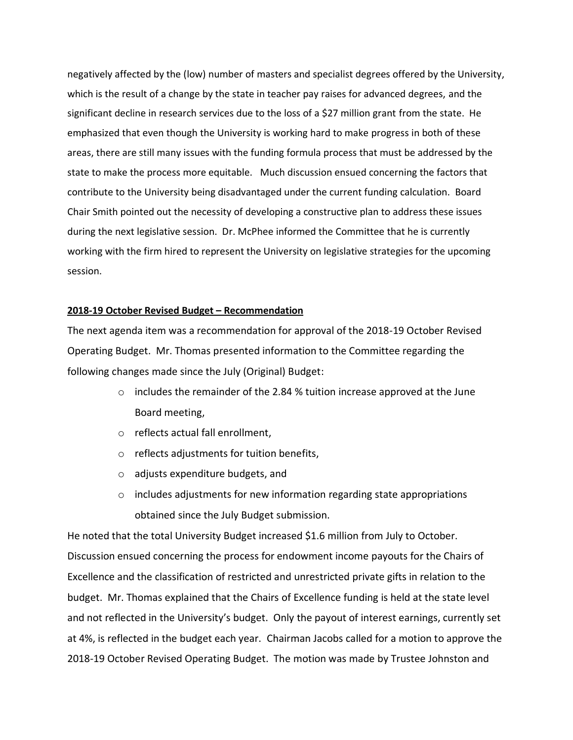negatively affected by the (low) number of masters and specialist degrees offered by the University, which is the result of a change by the state in teacher pay raises for advanced degrees, and the significant decline in research services due to the loss of a \$27 million grant from the state. He emphasized that even though the University is working hard to make progress in both of these areas, there are still many issues with the funding formula process that must be addressed by the state to make the process more equitable. Much discussion ensued concerning the factors that contribute to the University being disadvantaged under the current funding calculation. Board Chair Smith pointed out the necessity of developing a constructive plan to address these issues during the next legislative session. Dr. McPhee informed the Committee that he is currently working with the firm hired to represent the University on legislative strategies for the upcoming session.

## **2018-19 October Revised Budget – Recommendation**

The next agenda item was a recommendation for approval of the 2018-19 October Revised Operating Budget. Mr. Thomas presented information to the Committee regarding the following changes made since the July (Original) Budget:

- $\circ$  includes the remainder of the 2.84 % tuition increase approved at the June Board meeting,
- o reflects actual fall enrollment,
- o reflects adjustments for tuition benefits,
- o adjusts expenditure budgets, and
- o includes adjustments for new information regarding state appropriations obtained since the July Budget submission.

He noted that the total University Budget increased \$1.6 million from July to October. Discussion ensued concerning the process for endowment income payouts for the Chairs of Excellence and the classification of restricted and unrestricted private gifts in relation to the budget. Mr. Thomas explained that the Chairs of Excellence funding is held at the state level and not reflected in the University's budget. Only the payout of interest earnings, currently set at 4%, is reflected in the budget each year. Chairman Jacobs called for a motion to approve the 2018-19 October Revised Operating Budget. The motion was made by Trustee Johnston and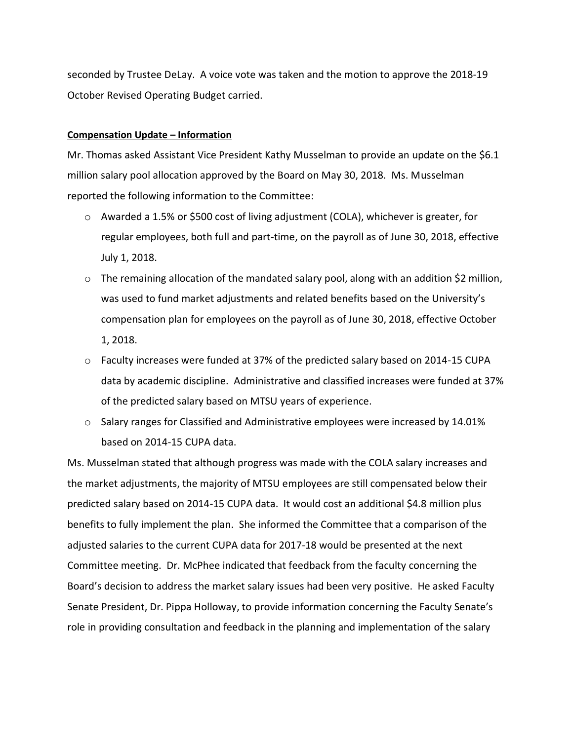seconded by Trustee DeLay. A voice vote was taken and the motion to approve the 2018-19 October Revised Operating Budget carried.

# **Compensation Update – Information**

Mr. Thomas asked Assistant Vice President Kathy Musselman to provide an update on the \$6.1 million salary pool allocation approved by the Board on May 30, 2018. Ms. Musselman reported the following information to the Committee:

- $\circ$  Awarded a 1.5% or \$500 cost of living adjustment (COLA), whichever is greater, for regular employees, both full and part-time, on the payroll as of June 30, 2018, effective July 1, 2018.
- $\circ$  The remaining allocation of the mandated salary pool, along with an addition \$2 million, was used to fund market adjustments and related benefits based on the University's compensation plan for employees on the payroll as of June 30, 2018, effective October 1, 2018.
- $\circ$  Faculty increases were funded at 37% of the predicted salary based on 2014-15 CUPA data by academic discipline. Administrative and classified increases were funded at 37% of the predicted salary based on MTSU years of experience.
- $\circ$  Salary ranges for Classified and Administrative employees were increased by 14.01% based on 2014-15 CUPA data.

Ms. Musselman stated that although progress was made with the COLA salary increases and the market adjustments, the majority of MTSU employees are still compensated below their predicted salary based on 2014-15 CUPA data. It would cost an additional \$4.8 million plus benefits to fully implement the plan. She informed the Committee that a comparison of the adjusted salaries to the current CUPA data for 2017-18 would be presented at the next Committee meeting. Dr. McPhee indicated that feedback from the faculty concerning the Board's decision to address the market salary issues had been very positive. He asked Faculty Senate President, Dr. Pippa Holloway, to provide information concerning the Faculty Senate's role in providing consultation and feedback in the planning and implementation of the salary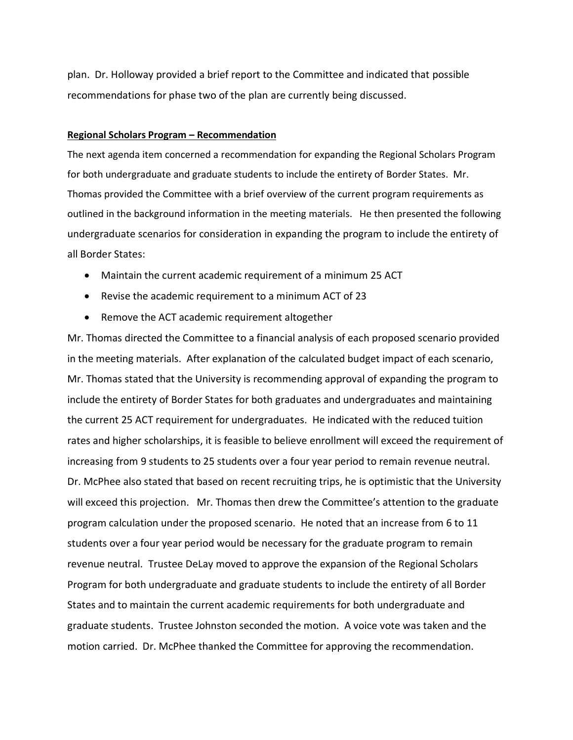plan. Dr. Holloway provided a brief report to the Committee and indicated that possible recommendations for phase two of the plan are currently being discussed.

## **Regional Scholars Program – Recommendation**

The next agenda item concerned a recommendation for expanding the Regional Scholars Program for both undergraduate and graduate students to include the entirety of Border States. Mr. Thomas provided the Committee with a brief overview of the current program requirements as outlined in the background information in the meeting materials. He then presented the following undergraduate scenarios for consideration in expanding the program to include the entirety of all Border States:

- Maintain the current academic requirement of a minimum 25 ACT
- Revise the academic requirement to a minimum ACT of 23
- Remove the ACT academic requirement altogether

Mr. Thomas directed the Committee to a financial analysis of each proposed scenario provided in the meeting materials. After explanation of the calculated budget impact of each scenario, Mr. Thomas stated that the University is recommending approval of expanding the program to include the entirety of Border States for both graduates and undergraduates and maintaining the current 25 ACT requirement for undergraduates. He indicated with the reduced tuition rates and higher scholarships, it is feasible to believe enrollment will exceed the requirement of increasing from 9 students to 25 students over a four year period to remain revenue neutral. Dr. McPhee also stated that based on recent recruiting trips, he is optimistic that the University will exceed this projection. Mr. Thomas then drew the Committee's attention to the graduate program calculation under the proposed scenario. He noted that an increase from 6 to 11 students over a four year period would be necessary for the graduate program to remain revenue neutral. Trustee DeLay moved to approve the expansion of the Regional Scholars Program for both undergraduate and graduate students to include the entirety of all Border States and to maintain the current academic requirements for both undergraduate and graduate students. Trustee Johnston seconded the motion. A voice vote was taken and the motion carried. Dr. McPhee thanked the Committee for approving the recommendation.